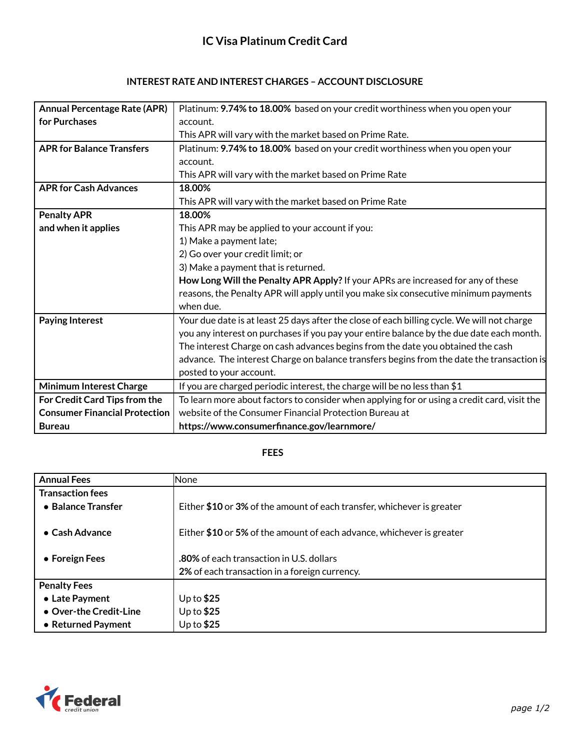| <b>Annual Percentage Rate (APR)</b>  | Platinum: 9.74% to 18.00% based on your credit worthiness when you open your                |
|--------------------------------------|---------------------------------------------------------------------------------------------|
| for Purchases                        | account.                                                                                    |
|                                      | This APR will vary with the market based on Prime Rate.                                     |
| <b>APR for Balance Transfers</b>     | Platinum: 9.74% to 18.00% based on your credit worthiness when you open your                |
|                                      | account.                                                                                    |
|                                      | This APR will vary with the market based on Prime Rate                                      |
| <b>APR for Cash Advances</b>         | 18.00%                                                                                      |
|                                      | This APR will vary with the market based on Prime Rate                                      |
| <b>Penalty APR</b>                   | 18.00%                                                                                      |
| and when it applies                  | This APR may be applied to your account if you:                                             |
|                                      | 1) Make a payment late;                                                                     |
|                                      | 2) Go over your credit limit; or                                                            |
|                                      | 3) Make a payment that is returned.                                                         |
|                                      | How Long Will the Penalty APR Apply? If your APRs are increased for any of these            |
|                                      | reasons, the Penalty APR will apply until you make six consecutive minimum payments         |
|                                      | when due.                                                                                   |
| <b>Paying Interest</b>               | Your due date is at least 25 days after the close of each billing cycle. We will not charge |
|                                      | you any interest on purchases if you pay your entire balance by the due date each month.    |
|                                      | The interest Charge on cash advances begins from the date you obtained the cash             |
|                                      | advance. The interest Charge on balance transfers begins from the date the transaction is   |
|                                      | posted to your account.                                                                     |
| <b>Minimum Interest Charge</b>       | If you are charged periodic interest, the charge will be no less than \$1                   |
| For Credit Card Tips from the        | To learn more about factors to consider when applying for or using a credit card, visit the |
| <b>Consumer Financial Protection</b> | website of the Consumer Financial Protection Bureau at                                      |
| <b>Bureau</b>                        | https://www.consumerfinance.gov/learnmore/                                                  |

## **FEES**

| <b>Annual Fees</b>      | None                                                                   |
|-------------------------|------------------------------------------------------------------------|
| <b>Transaction fees</b> |                                                                        |
| • Balance Transfer      | Either \$10 or 3% of the amount of each transfer, whichever is greater |
|                         |                                                                        |
| $\bullet$ Cash Advance  | Either \$10 or 5% of the amount of each advance, whichever is greater  |
|                         |                                                                        |
| • Foreign Fees          | <b>.80%</b> of each transaction in U.S. dollars                        |
|                         | 2% of each transaction in a foreign currency.                          |
| <b>Penalty Fees</b>     |                                                                        |
| • Late Payment          | Up to $$25$                                                            |
| • Over-the Credit-Line  | Up to $$25$                                                            |
| • Returned Payment      | Up to $$25$                                                            |